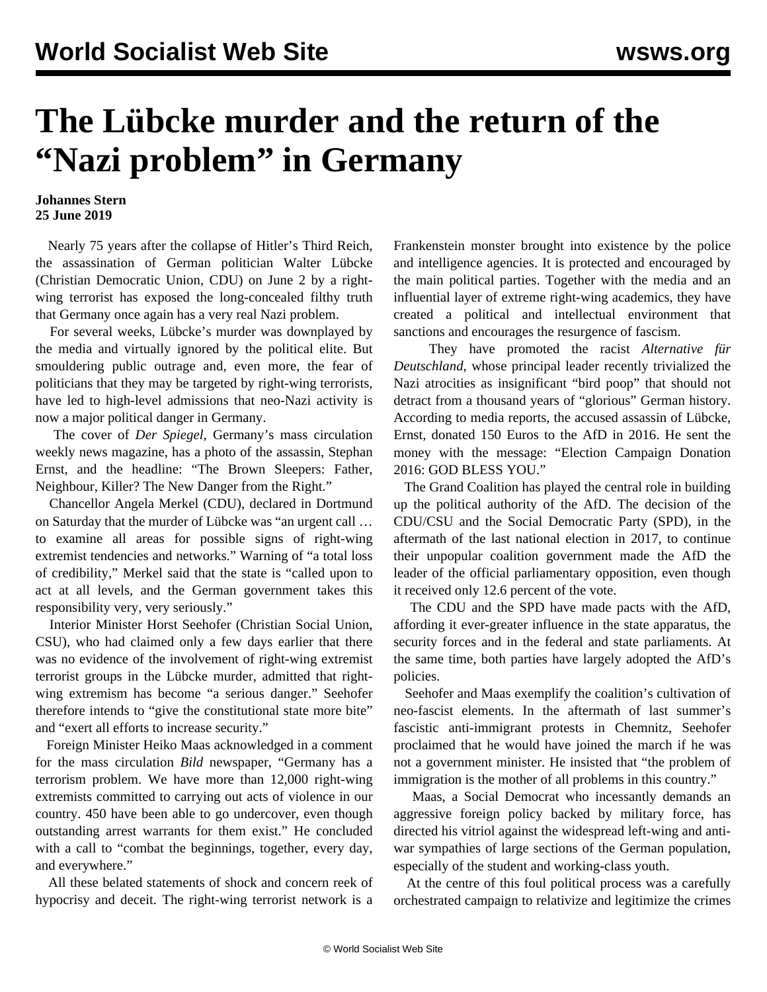## **The Lübcke murder and the return of the "Nazi problem" in Germany**

## **Johannes Stern 25 June 2019**

 Nearly 75 years after the collapse of Hitler's Third Reich, the assassination of German politician Walter Lübcke (Christian Democratic Union, CDU) on June 2 by a rightwing terrorist has exposed the long-concealed filthy truth that Germany once again has a very real Nazi problem.

 For several weeks, Lübcke's murder was downplayed by the media and virtually ignored by the political elite. But smouldering public outrage and, even more, the fear of politicians that they may be targeted by right-wing terrorists, have led to high-level admissions that neo-Nazi activity is now a major political danger in Germany.

 The cover of *Der Spiegel*, Germany's mass circulation weekly news magazine, has a photo of the assassin, Stephan Ernst, and the headline: "The Brown Sleepers: Father, Neighbour, Killer? The New Danger from the Right."

 Chancellor Angela Merkel (CDU), declared in Dortmund on Saturday that the murder of Lübcke was "an urgent call … to examine all areas for possible signs of right-wing extremist tendencies and networks." Warning of "a total loss of credibility," Merkel said that the state is "called upon to act at all levels, and the German government takes this responsibility very, very seriously."

 Interior Minister Horst Seehofer (Christian Social Union, CSU), who had claimed only a few days earlier that there was no evidence of the involvement of right-wing extremist terrorist groups in the Lübcke murder, admitted that rightwing extremism has become "a serious danger." Seehofer therefore intends to "give the constitutional state more bite" and "exert all efforts to increase security."

 Foreign Minister Heiko Maas acknowledged in a comment for the mass circulation *Bild* newspaper, "Germany has a terrorism problem. We have more than 12,000 right-wing extremists committed to carrying out acts of violence in our country. 450 have been able to go undercover, even though outstanding arrest warrants for them exist." He concluded with a call to "combat the beginnings, together, every day, and everywhere."

 All these belated statements of shock and concern reek of hypocrisy and deceit. The right-wing terrorist network is a Frankenstein monster brought into existence by the police and intelligence agencies. It is protected and encouraged by the main political parties. Together with the media and an influential layer of extreme right-wing academics, they have created a political and intellectual environment that sanctions and encourages the resurgence of fascism.

 They have promoted the racist *Alternative für Deutschland*, whose principal leader recently trivialized the Nazi atrocities as insignificant "bird poop" that should not detract from a thousand years of "glorious" German history. According to media reports, the accused assassin of Lübcke, Ernst, donated 150 Euros to the AfD in 2016. He sent the money with the message: "Election Campaign Donation 2016: GOD BLESS YOU."

 The Grand Coalition has played the central role in building up the political authority of the AfD. The decision of the CDU/CSU and the Social Democratic Party (SPD), in the aftermath of the last national election in 2017, to continue their unpopular coalition government made the AfD the leader of the official parliamentary opposition, even though it received only 12.6 percent of the vote.

 The CDU and the SPD have made pacts with the AfD, affording it ever-greater influence in the state apparatus, the security forces and in the federal and state parliaments. At the same time, both parties have largely adopted the AfD's policies.

 Seehofer and Maas exemplify the coalition's cultivation of neo-fascist elements. In the aftermath of last summer's fascistic anti-immigrant protests in Chemnitz, Seehofer proclaimed that he would have joined the march if he was not a government minister. He insisted that "the problem of immigration is the mother of all problems in this country."

 Maas, a Social Democrat who incessantly demands an aggressive foreign policy backed by military force, has directed his vitriol against the widespread left-wing and antiwar sympathies of large sections of the German population, especially of the student and working-class youth.

 At the centre of this foul political process was a carefully orchestrated campaign to relativize and legitimize the crimes